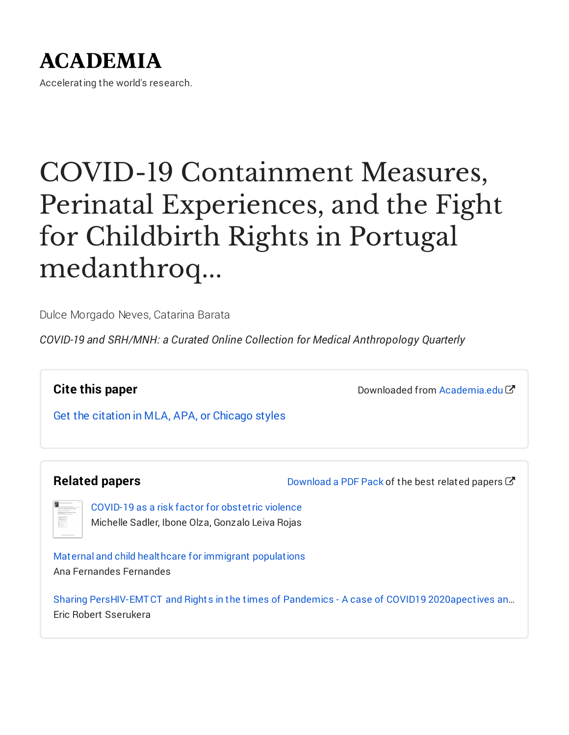## **ACADEMIA**

Accelerating the world's research.

## COVID-19 Containment Measures, Perinatal Experiences, and the Fight for Childbirth Rights in Portugal medanthroq...

Dulce Morgado Neves, Catarina Barata

*COVID-19 and SRH/MNH: a Curated Online Collection for Medical Anthropology Quarterly*

**Cite this paper**

Downloaded from Academia edu<sup>7</sup>

Get the citation in MLA, APA, or [Chicago](https://www.academia.edu/44012738/COVID_19_Containment_Measures_Perinatal_Experiences_and_the_Fight_for_Childbirth_Rights_in_Portugal_medanthroquarterly_org_2020_08_11_covid_19_containment_measures_perinatal_experiences_and_the_fight_for_childbirth_rights_in_portugal?auto=citations&from=cover_page) styles

#### **Related papers**

[Download](https://www.academia.edu/44012738/COVID_19_Containment_Measures_Perinatal_Experiences_and_the_Fight_for_Childbirth_Rights_in_Portugal_medanthroquarterly_org_2020_08_11_covid_19_containment_measures_perinatal_experiences_and_the_fight_for_childbirth_rights_in_portugal?bulkDownload=thisPaper-topRelated-sameAuthor-citingThis-citedByThis-secondOrderCitations&from=cover_page) a PDF Pack of the best related papers  $C^{\prime}$ 

| Children and here by departments                           |
|------------------------------------------------------------|
| <b>STATIST AND HOTELS TO</b>                               |
| -----<br>ECHEC<br>m<br><b>CONTRACTOR</b><br>a so<br>$\sim$ |
| 逞<br>$-$<br>c.<br>$\sim$<br>Ξ<br>---                       |
| <b>ANTIST</b><br>÷<br>$\sim$                               |

[COVID-19](https://www.academia.edu/43429414/COVID_19_as_a_risk_factor_for_obstetric_violence?from=cover_page) as a risk factor for obstetric violence Michelle Sadler, Ibone Olza, Gonzalo Leiva Rojas

Maternal and child healthcare for immigrant [populations](https://www.academia.edu/25522932/Maternal_and_child_healthcare_for_immigrant_populations?from=cover_page) Ana Fernandes Fernandes

Sharing [PersHIV-EMTCT](https://www.academia.edu/43282326/Sharing_PersHIV_EMTCT_and_Rights_in_the_times_of_Pandemics_A_case_of_COVID19_2020apectives_and_Stories_for_Better_Lives?from=cover_page) and Rights in the times of Pandemics - A case of COVID19 2020apectives an… Eric Robert Sserukera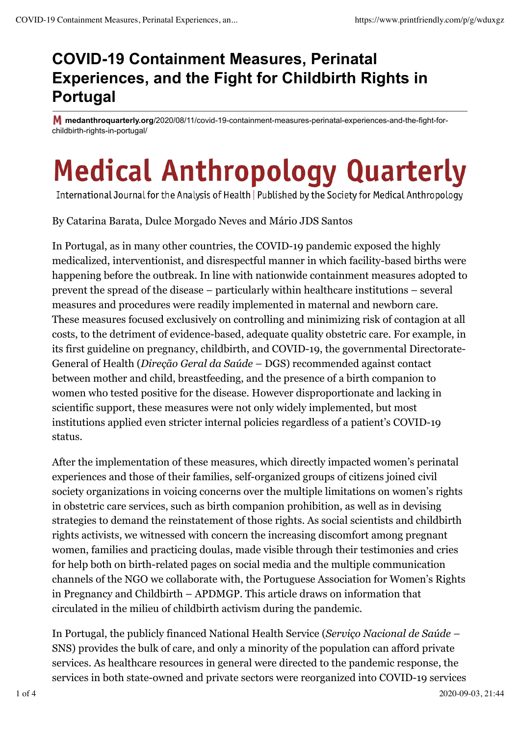### **COVID-19 Containment Measures, Perinatal Experiences, and the Fight for Childbirth Rights in Portugal**

**medanthroquarterly.org**/2020/08/11/covid-19-containment-measures-perinatal-experiences-and-the-fight-forchildbirth-rights-in-portugal/

# **Medical Anthropology Quarterly**

International Journal for the Analysis of Health | Published by the Society for Medical Anthropology

By Catarina Barata, Dulce Morgado Neves and Mário JDS Santos

In Portugal, as in many other countries, the COVID-19 pandemic exposed the highly medicalized, interventionist, and disrespectful manner in which facility-based births were happening before the outbreak. In line with nationwide containment measures adopted to prevent the spread of the disease – particularly within healthcare institutions – several measures and procedures were readily implemented in maternal and newborn care. These measures focused exclusively on controlling and minimizing risk of contagion at all costs, to the detriment of evidence-based, adequate quality obstetric care. For example, in its first guideline on pregnancy, childbirth, and COVID-19, the governmental Directorate-General of Health (*Direção Geral da Saúde –* DGS) recommended against contact between mother and child, breastfeeding, and the presence of a birth companion to women who tested positive for the disease. However disproportionate and lacking in scientific support, these measures were not only widely implemented, but most institutions applied even stricter internal policies regardless of a patient's COVID-19 status.

After the implementation of these measures, which directly impacted women's perinatal experiences and those of their families, self-organized groups of citizens joined civil society organizations in voicing concerns over the multiple limitations on women's rights in obstetric care services, such as birth companion prohibition, as well as in devising strategies to demand the reinstatement of those rights. As social scientists and childbirth rights activists, we witnessed with concern the increasing discomfort among pregnant women, families and practicing doulas, made visible through their testimonies and cries for help both on birth-related pages on social media and the multiple communication channels of the NGO we collaborate with, the Portuguese Association for Women's Rights in Pregnancy and Childbirth – APDMGP. This article draws on information that circulated in the milieu of childbirth activism during the pandemic.

In Portugal, the publicly financed National Health Service (*Serviço Nacional de Saúde –* SNS) provides the bulk of care, and only a minority of the population can afford private services. As healthcare resources in general were directed to the pandemic response, the services in both state-owned and private sectors were reorganized into COVID-19 services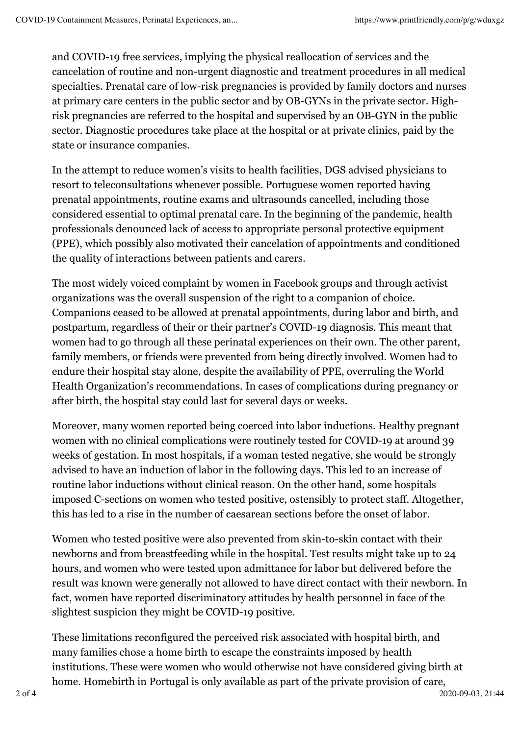and COVID-19 free services, implying the physical reallocation of services and the cancelation of routine and non-urgent diagnostic and treatment procedures in all medical specialties. Prenatal care of low-risk pregnancies is provided by family doctors and nurses at primary care centers in the public sector and by OB-GYNs in the private sector. Highrisk pregnancies are referred to the hospital and supervised by an OB-GYN in the public sector. Diagnostic procedures take place at the hospital or at private clinics, paid by the state or insurance companies.

In the attempt to reduce women's visits to health facilities, DGS advised physicians to resort to teleconsultations whenever possible. Portuguese women reported having prenatal appointments, routine exams and ultrasounds cancelled, including those considered essential to optimal prenatal care. In the beginning of the pandemic, health professionals denounced lack of access to appropriate personal protective equipment (PPE), which possibly also motivated their cancelation of appointments and conditioned the quality of interactions between patients and carers.

The most widely voiced complaint by women in Facebook groups and through activist organizations was the overall suspension of the right to a companion of choice. Companions ceased to be allowed at prenatal appointments, during labor and birth, and postpartum, regardless of their or their partner's COVID-19 diagnosis. This meant that women had to go through all these perinatal experiences on their own. The other parent, family members, or friends were prevented from being directly involved. Women had to endure their hospital stay alone, despite the availability of PPE, overruling the World Health Organization's recommendations. In cases of complications during pregnancy or after birth, the hospital stay could last for several days or weeks.

Moreover, many women reported being coerced into labor inductions. Healthy pregnant women with no clinical complications were routinely tested for COVID-19 at around 39 weeks of gestation. In most hospitals, if a woman tested negative, she would be strongly advised to have an induction of labor in the following days. This led to an increase of routine labor inductions without clinical reason. On the other hand, some hospitals imposed C-sections on women who tested positive, ostensibly to protect staff. Altogether, this has led to a rise in the number of caesarean sections before the onset of labor.

Women who tested positive were also prevented from skin-to-skin contact with their newborns and from breastfeeding while in the hospital. Test results might take up to 24 hours, and women who were tested upon admittance for labor but delivered before the result was known were generally not allowed to have direct contact with their newborn. In fact, women have reported discriminatory attitudes by health personnel in face of the slightest suspicion they might be COVID-19 positive.

These limitations reconfigured the perceived risk associated with hospital birth, and many families chose a home birth to escape the constraints imposed by health institutions. These were women who would otherwise not have considered giving birth at home. Homebirth in Portugal is only available as part of the private provision of care,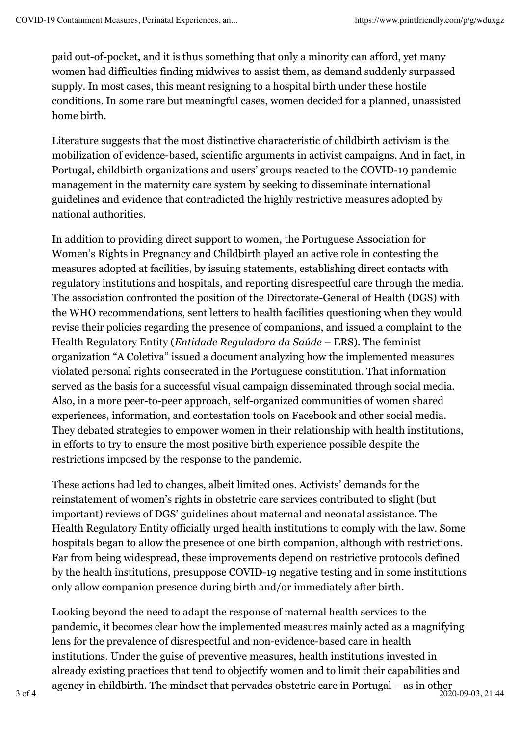paid out-of-pocket, and it is thus something that only a minority can afford, yet many women had difficulties finding midwives to assist them, as demand suddenly surpassed supply. In most cases, this meant resigning to a hospital birth under these hostile conditions. In some rare but meaningful cases, women decided for a planned, unassisted home birth.

Literature suggests that the most distinctive characteristic of childbirth activism is the mobilization of evidence-based, scientific arguments in activist campaigns. And in fact, in Portugal, childbirth organizations and users' groups reacted to the COVID-19 pandemic management in the maternity care system by seeking to disseminate international guidelines and evidence that contradicted the highly restrictive measures adopted by national authorities.

In addition to providing direct support to women, the Portuguese Association for Women's Rights in Pregnancy and Childbirth played an active role in contesting the measures adopted at facilities, by issuing statements, establishing direct contacts with regulatory institutions and hospitals, and reporting disrespectful care through the media. The association confronted the position of the Directorate-General of Health (DGS) with the WHO recommendations, sent letters to health facilities questioning when they would revise their policies regarding the presence of companions, and issued a complaint to the Health Regulatory Entity (*Entidade Reguladora da Saúde –* ERS). The feminist organization "A Coletiva" issued a document analyzing how the implemented measures violated personal rights consecrated in the Portuguese constitution. That information served as the basis for a successful visual campaign disseminated through social media. Also, in a more peer-to-peer approach, self-organized communities of women shared experiences, information, and contestation tools on Facebook and other social media. They debated strategies to empower women in their relationship with health institutions, in efforts to try to ensure the most positive birth experience possible despite the restrictions imposed by the response to the pandemic.

These actions had led to changes, albeit limited ones. Activists' demands for the reinstatement of women's rights in obstetric care services contributed to slight (but important) reviews of DGS' guidelines about maternal and neonatal assistance. The Health Regulatory Entity officially urged health institutions to comply with the law. Some hospitals began to allow the presence of one birth companion, although with restrictions. Far from being widespread, these improvements depend on restrictive protocols defined by the health institutions, presuppose COVID-19 negative testing and in some institutions only allow companion presence during birth and/or immediately after birth.

Looking beyond the need to adapt the response of maternal health services to the pandemic, it becomes clear how the implemented measures mainly acted as a magnifying lens for the prevalence of disrespectful and non-evidence-based care in health institutions. Under the guise of preventive measures, health institutions invested in already existing practices that tend to objectify women and to limit their capabilities and agency in childbirth. The mindset that pervades obstetric care in Portugal – as in other  $3 \text{ of } 4$  2020-09-03, 21:44